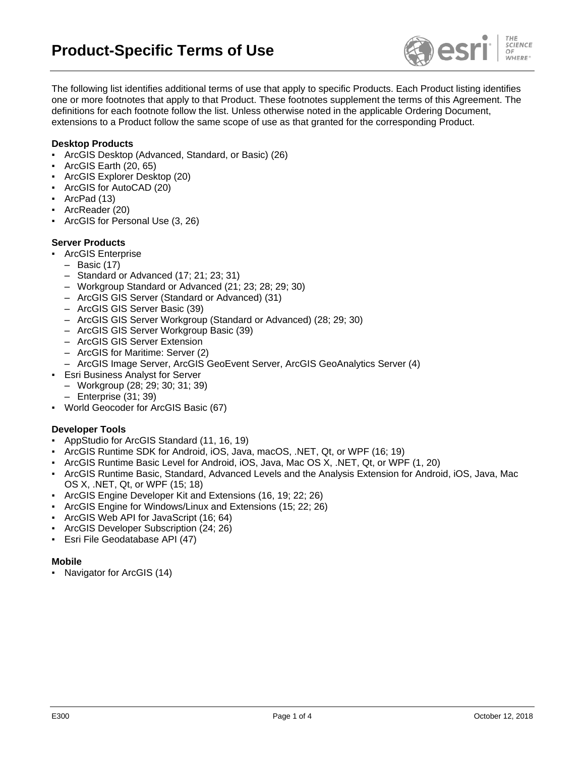

The following list identifies additional terms of use that apply to specific Products. Each Product listing identifies one or more footnotes that apply to that Product. These footnotes supplement the terms of this Agreement. The definitions for each footnote follow the list. Unless otherwise noted in the applicable Ordering Document, extensions to a Product follow the same scope of use as that granted for the corresponding Product.

### **Desktop Products**

- ArcGIS Desktop (Advanced, Standard, or Basic) (26)
- ArcGIS Earth (20, 65)
- ArcGIS Explorer Desktop (20)
- ArcGIS for AutoCAD (20)
- ArcPad (13)
- ArcReader (20)
- ArcGIS for Personal Use (3, 26)

## **Server Products**

- **ArcGIS Enterprise** 
	- Basic (17)
	- Standard or Advanced (17; 21; 23; 31)
	- Workgroup Standard or Advanced (21; 23; 28; 29; 30)
	- ArcGIS GIS Server (Standard or Advanced) (31)
	- ArcGIS GIS Server Basic (39)
	- ArcGIS GIS Server Workgroup (Standard or Advanced) (28; 29; 30)
	- ArcGIS GIS Server Workgroup Basic (39)
	- ArcGIS GIS Server Extension
	- ArcGIS for Maritime: Server (2)
- ArcGIS Image Server, ArcGIS GeoEvent Server, ArcGIS GeoAnalytics Server (4)
- **Esri Business Analyst for Server**
- Workgroup (28; 29; 30; 31; 39)
- Enterprise (31; 39)
- World Geocoder for ArcGIS Basic (67)

#### **Developer Tools**

- AppStudio for ArcGIS Standard (11, 16, 19)
- ArcGIS Runtime SDK for Android, iOS, Java, macOS, .NET, Qt, or WPF (16; 19)
- ArcGIS Runtime Basic Level for Android, iOS, Java, Mac OS X, .NET, Qt, or WPF (1, 20)
- ArcGIS Runtime Basic, Standard, Advanced Levels and the Analysis Extension for Android, iOS, Java, Mac OS X, .NET, Qt, or WPF (15; 18)
- ArcGIS Engine Developer Kit and Extensions (16, 19; 22; 26)
- ArcGIS Engine for Windows/Linux and Extensions (15; 22; 26)
- ArcGIS Web API for JavaScript (16; 64)
- ArcGIS Developer Subscription (24; 26)
- Esri File Geodatabase API (47)

#### **Mobile**

Navigator for ArcGIS (14)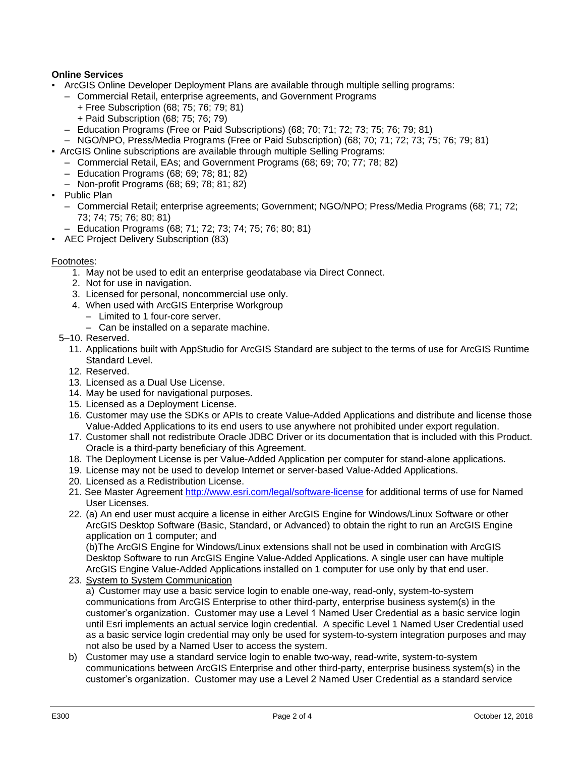# **Online Services**

- ArcGIS Online Developer Deployment Plans are available through multiple selling programs:
	- Commercial Retail, enterprise agreements, and Government Programs
		- + Free Subscription (68; 75; 76; 79; 81)
		- + Paid Subscription (68; 75; 76; 79)
	- Education Programs (Free or Paid Subscriptions) (68; 70; 71; 72; 73; 75; 76; 79; 81)
	- NGO/NPO, Press/Media Programs (Free or Paid Subscription) (68; 70; 71; 72; 73; 75; 76; 79; 81)
- ArcGIS Online subscriptions are available through multiple Selling Programs:
	- Commercial Retail, EAs; and Government Programs (68; 69; 70; 77; 78; 82)
	- Education Programs (68; 69; 78; 81; 82)
	- Non-profit Programs (68; 69; 78; 81; 82)
- Public Plan
	- Commercial Retail; enterprise agreements; Government; NGO/NPO; Press/Media Programs (68; 71; 72; 73; 74; 75; 76; 80; 81)
	- Education Programs (68; 71; 72; 73; 74; 75; 76; 80; 81)
- AEC Project Delivery Subscription (83)

#### Footnotes:

- 1. May not be used to edit an enterprise geodatabase via Direct Connect.
- 2. Not for use in navigation.
- 3. Licensed for personal, noncommercial use only.
- 4. When used with ArcGIS Enterprise Workgroup
	- Limited to 1 four-core server.
	- Can be installed on a separate machine.
- 5–10. Reserved.
	- 11. Applications built with AppStudio for ArcGIS Standard are subject to the terms of use for ArcGIS Runtime Standard Level.
	- 12. Reserved.
	- 13. Licensed as a Dual Use License.
	- 14. May be used for navigational purposes.
	- 15. Licensed as a Deployment License.
	- 16. Customer may use the SDKs or APIs to create Value-Added Applications and distribute and license those Value-Added Applications to its end users to use anywhere not prohibited under export regulation.
	- 17. Customer shall not redistribute Oracle JDBC Driver or its documentation that is included with this Product. Oracle is a third-party beneficiary of this Agreement.
	- 18. The Deployment License is per Value-Added Application per computer for stand-alone applications.
	- 19. License may not be used to develop Internet or server-based Value-Added Applications.
	- 20. Licensed as a Redistribution License.
	- 21. See Master Agreement <http://www.esri.com/legal/software-license> for additional terms of use for Named User Licenses.
	- 22. (a) An end user must acquire a license in either ArcGIS Engine for Windows/Linux Software or other ArcGIS Desktop Software (Basic, Standard, or Advanced) to obtain the right to run an ArcGIS Engine application on 1 computer; and

(b)The ArcGIS Engine for Windows/Linux extensions shall not be used in combination with ArcGIS Desktop Software to run ArcGIS Engine Value-Added Applications. A single user can have multiple ArcGIS Engine Value-Added Applications installed on 1 computer for use only by that end user.

23. System to System Communication

a) Customer may use a basic service login to enable one-way, read-only, system-to-system communications from ArcGIS Enterprise to other third-party, enterprise business system(s) in the customer's organization. Customer may use a Level 1 Named User Credential as a basic service login until Esri implements an actual service login credential. A specific Level 1 Named User Credential used as a basic service login credential may only be used for system-to-system integration purposes and may not also be used by a Named User to access the system.

b) Customer may use a standard service login to enable two-way, read-write, system-to-system communications between ArcGIS Enterprise and other third-party, enterprise business system(s) in the customer's organization. Customer may use a Level 2 Named User Credential as a standard service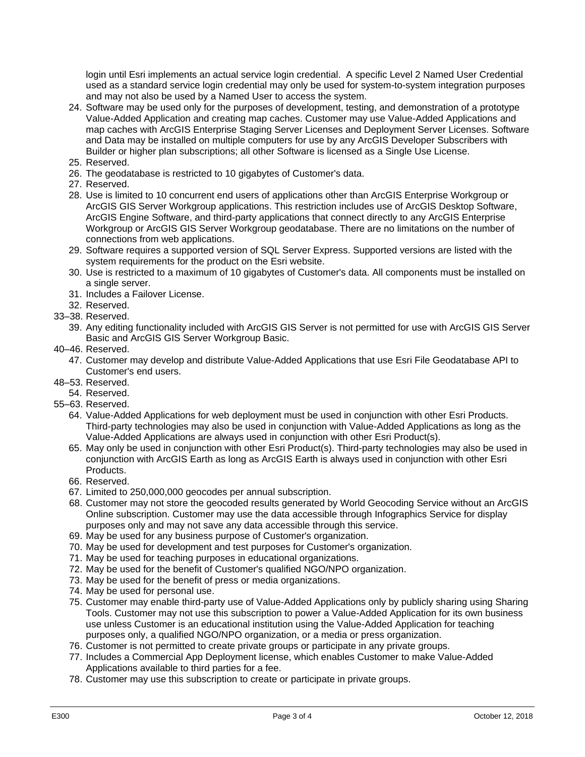login until Esri implements an actual service login credential. A specific Level 2 Named User Credential used as a standard service login credential may only be used for system-to-system integration purposes and may not also be used by a Named User to access the system.

- 24. Software may be used only for the purposes of development, testing, and demonstration of a prototype Value-Added Application and creating map caches. Customer may use Value-Added Applications and map caches with ArcGIS Enterprise Staging Server Licenses and Deployment Server Licenses. Software and Data may be installed on multiple computers for use by any ArcGIS Developer Subscribers with Builder or higher plan subscriptions; all other Software is licensed as a Single Use License.
- 25. Reserved.
- 26. The geodatabase is restricted to 10 gigabytes of Customer's data.
- 27. Reserved.
- 28. Use is limited to 10 concurrent end users of applications other than ArcGIS Enterprise Workgroup or ArcGIS GIS Server Workgroup applications. This restriction includes use of ArcGIS Desktop Software, ArcGIS Engine Software, and third-party applications that connect directly to any ArcGIS Enterprise Workgroup or ArcGIS GIS Server Workgroup geodatabase. There are no limitations on the number of connections from web applications.
- 29. Software requires a supported version of SQL Server Express. Supported versions are listed with the system requirements for the product on the Esri website.
- 30. Use is restricted to a maximum of 10 gigabytes of Customer's data. All components must be installed on a single server.
- 31. Includes a Failover License.
- 32. Reserved.
- 33–38. Reserved.
	- 39. Any editing functionality included with ArcGIS GIS Server is not permitted for use with ArcGIS GIS Server Basic and ArcGIS GIS Server Workgroup Basic.
- 40–46. Reserved.
	- 47. Customer may develop and distribute Value-Added Applications that use Esri File Geodatabase API to Customer's end users.
- 48–53. Reserved.
- 54. Reserved.
- 55–63. Reserved.
	- 64. Value-Added Applications for web deployment must be used in conjunction with other Esri Products. Third-party technologies may also be used in conjunction with Value-Added Applications as long as the Value-Added Applications are always used in conjunction with other Esri Product(s).
	- 65. May only be used in conjunction with other Esri Product(s). Third-party technologies may also be used in conjunction with ArcGIS Earth as long as ArcGIS Earth is always used in conjunction with other Esri Products.
	- 66. Reserved.
	- 67. Limited to 250,000,000 geocodes per annual subscription.
	- 68. Customer may not store the geocoded results generated by World Geocoding Service without an ArcGIS Online subscription. Customer may use the data accessible through Infographics Service for display purposes only and may not save any data accessible through this service.
	- 69. May be used for any business purpose of Customer's organization.
	- 70. May be used for development and test purposes for Customer's organization.
	- 71. May be used for teaching purposes in educational organizations.
	- 72. May be used for the benefit of Customer's qualified NGO/NPO organization.
	- 73. May be used for the benefit of press or media organizations.
	- 74. May be used for personal use.
	- 75. Customer may enable third-party use of Value-Added Applications only by publicly sharing using Sharing Tools. Customer may not use this subscription to power a Value-Added Application for its own business use unless Customer is an educational institution using the Value-Added Application for teaching purposes only, a qualified NGO/NPO organization, or a media or press organization.
	- 76. Customer is not permitted to create private groups or participate in any private groups.
	- 77. Includes a Commercial App Deployment license, which enables Customer to make Value-Added Applications available to third parties for a fee.
	- 78. Customer may use this subscription to create or participate in private groups.